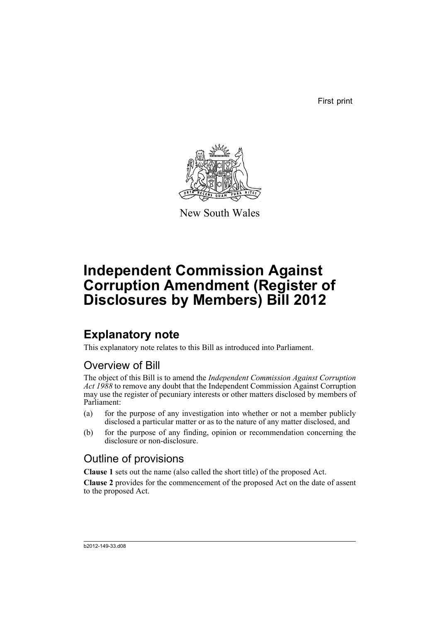First print



New South Wales

# **Independent Commission Against Corruption Amendment (Register of Disclosures by Members) Bill 2012**

## **Explanatory note**

This explanatory note relates to this Bill as introduced into Parliament.

### Overview of Bill

The object of this Bill is to amend the *Independent Commission Against Corruption Act 1988* to remove any doubt that the Independent Commission Against Corruption may use the register of pecuniary interests or other matters disclosed by members of Parliament:

- (a) for the purpose of any investigation into whether or not a member publicly disclosed a particular matter or as to the nature of any matter disclosed, and
- (b) for the purpose of any finding, opinion or recommendation concerning the disclosure or non-disclosure.

### Outline of provisions

**Clause 1** sets out the name (also called the short title) of the proposed Act.

**Clause 2** provides for the commencement of the proposed Act on the date of assent to the proposed Act.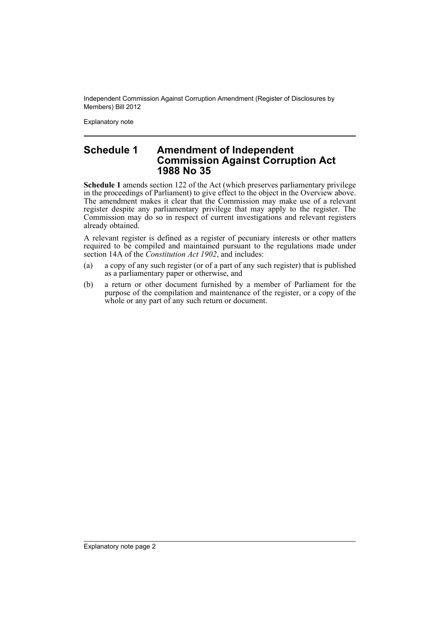Independent Commission Against Corruption Amendment (Register of Disclosures by Members) Bill 2012

Explanatory note

### **Schedule 1 Amendment of Independent Commission Against Corruption Act 1988 No 35**

**Schedule 1** amends section 122 of the Act (which preserves parliamentary privilege in the proceedings of Parliament) to give effect to the object in the Overview above. The amendment makes it clear that the Commission may make use of a relevant register despite any parliamentary privilege that may apply to the register. The Commission may do so in respect of current investigations and relevant registers already obtained.

A relevant register is defined as a register of pecuniary interests or other matters required to be compiled and maintained pursuant to the regulations made under section 14A of the *Constitution Act 1902*, and includes:

- (a) a copy of any such register (or of a part of any such register) that is published as a parliamentary paper or otherwise, and
- (b) a return or other document furnished by a member of Parliament for the purpose of the compilation and maintenance of the register, or a copy of the whole or any part of any such return or document.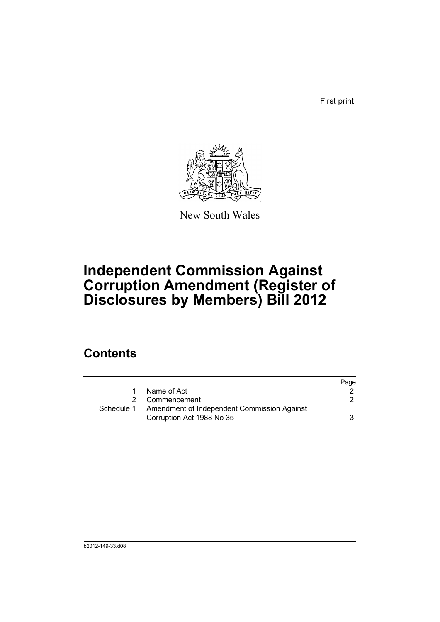First print



New South Wales

# **Independent Commission Against Corruption Amendment (Register of Disclosures by Members) Bill 2012**

## **Contents**

|            |                                                                          | Page |
|------------|--------------------------------------------------------------------------|------|
| 1          | Name of Act                                                              |      |
|            | 2 Commencement                                                           |      |
| Schedule 1 | Amendment of Independent Commission Against<br>Corruption Act 1988 No 35 | 3    |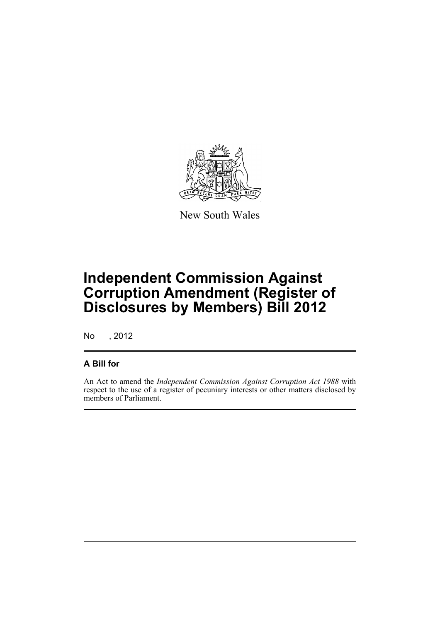

New South Wales

# **Independent Commission Against Corruption Amendment (Register of Disclosures by Members) Bill 2012**

No , 2012

#### **A Bill for**

An Act to amend the *Independent Commission Against Corruption Act 1988* with respect to the use of a register of pecuniary interests or other matters disclosed by members of Parliament.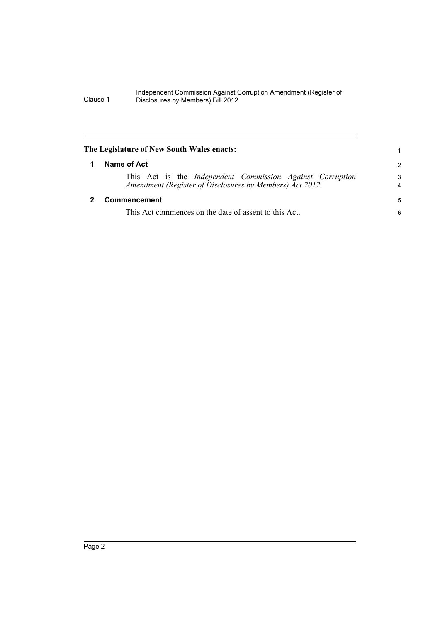#### Independent Commission Against Corruption Amendment (Register of Clause 1 Disclosures by Members) Bill 2012

<span id="page-5-1"></span><span id="page-5-0"></span>

| The Legislature of New South Wales enacts: |                                                                                                                       | 1             |
|--------------------------------------------|-----------------------------------------------------------------------------------------------------------------------|---------------|
|                                            | Name of Act                                                                                                           | $\mathcal{P}$ |
|                                            | This Act is the Independent Commission Against Corruption<br>Amendment (Register of Disclosures by Members) Act 2012. | 3<br>4        |
|                                            | Commencement                                                                                                          | 5             |
|                                            | This Act commences on the date of assent to this Act.                                                                 | 6             |
|                                            |                                                                                                                       |               |